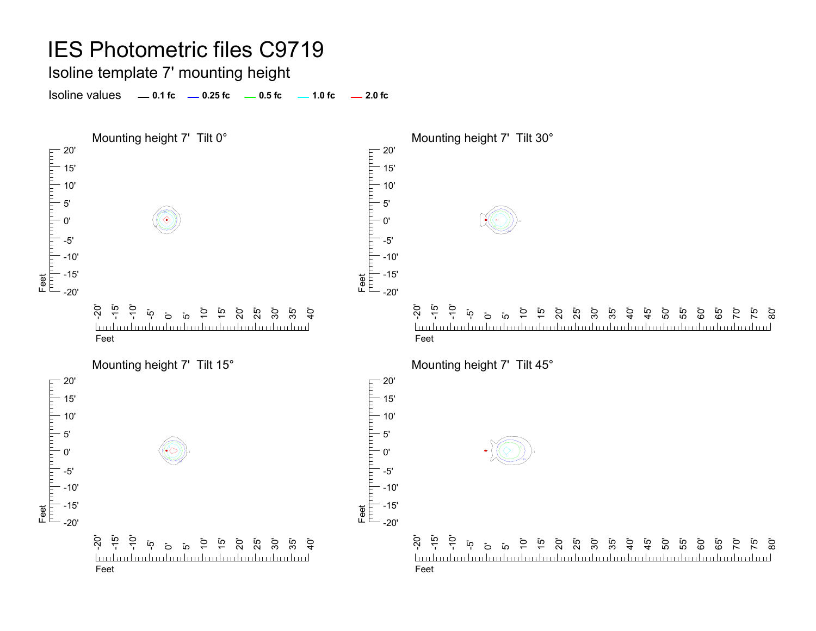Isoline template 7' mounting height

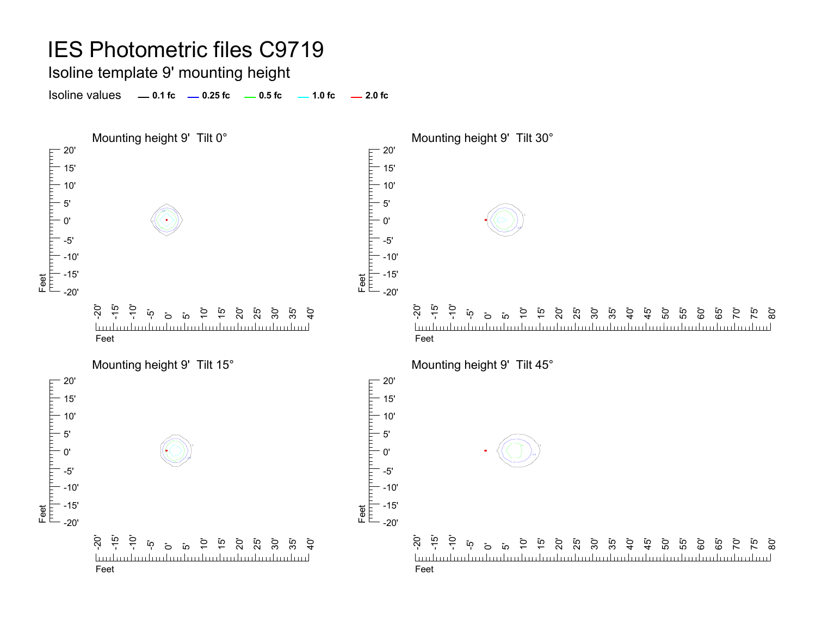Isoline template 9' mounting height

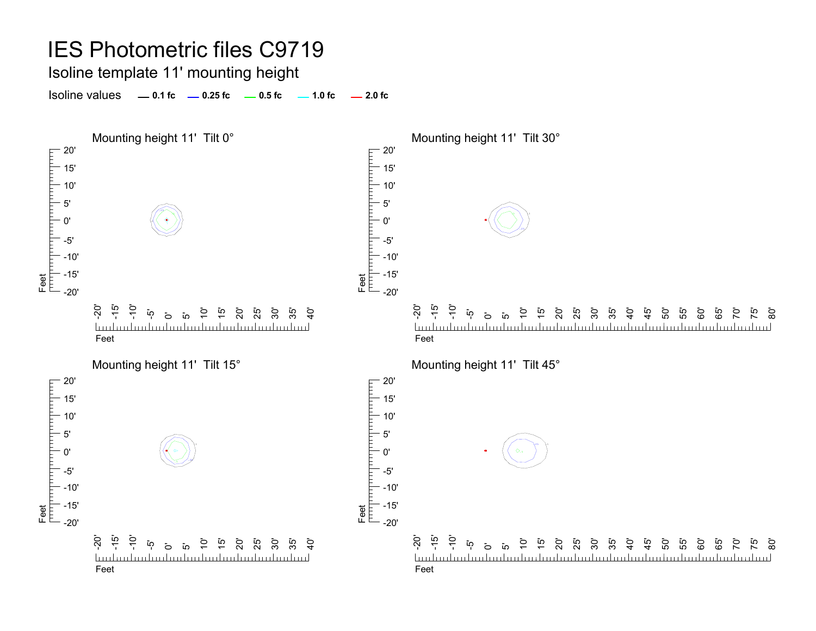# IES Photometric files C9719 Isoline template 11' mounting height

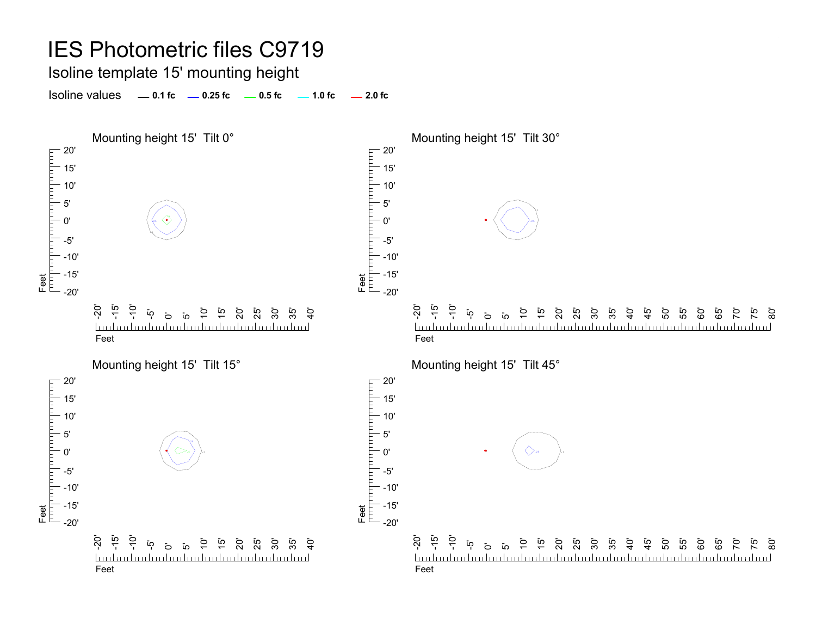Isoline template 15' mounting height